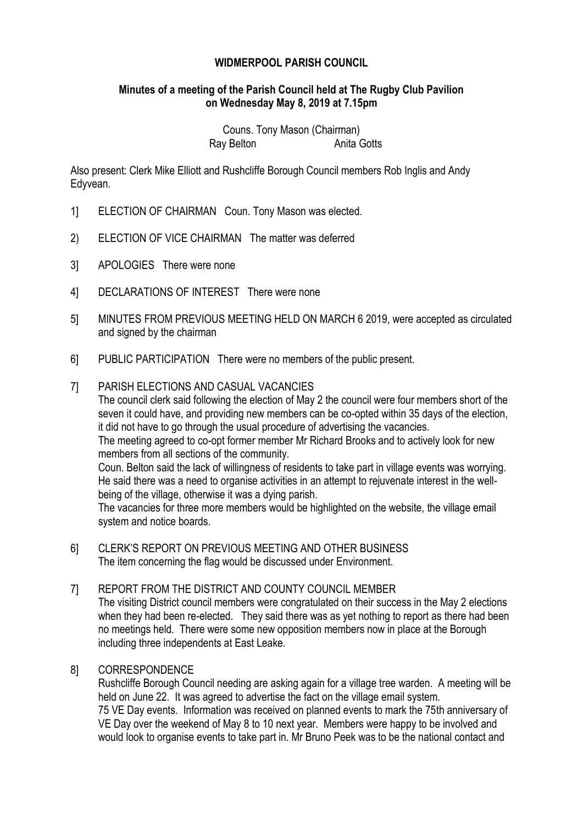# **WIDMERPOOL PARISH COUNCIL**

# **Minutes of a meeting of the Parish Council held at The Rugby Club Pavilion on Wednesday May 8, 2019 at 7.15pm**

Couns. Tony Mason (Chairman) Ray Belton **Anita Gotts** 

Also present: Clerk Mike Elliott and Rushcliffe Borough Council members Rob Inglis and Andy Edyvean.

- 1] ELECTION OF CHAIRMAN Coun. Tony Mason was elected.
- 2) ELECTION OF VICE CHAIRMAN The matter was deferred
- 3] APOLOGIES There were none
- 4] DECLARATIONS OF INTEREST There were none
- 5] MINUTES FROM PREVIOUS MEETING HELD ON MARCH 6 2019, were accepted as circulated and signed by the chairman
- 6] PUBLIC PARTICIPATION There were no members of the public present.

## 7] PARISH ELECTIONS AND CASUAL VACANCIES

The council clerk said following the election of May 2 the council were four members short of the seven it could have, and providing new members can be co-opted within 35 days of the election, it did not have to go through the usual procedure of advertising the vacancies.

The meeting agreed to co-opt former member Mr Richard Brooks and to actively look for new members from all sections of the community.

Coun. Belton said the lack of willingness of residents to take part in village events was worrying. He said there was a need to organise activities in an attempt to rejuvenate interest in the wellbeing of the village, otherwise it was a dying parish.

The vacancies for three more members would be highlighted on the website, the village email system and notice boards.

6] CLERK'S REPORT ON PREVIOUS MEETING AND OTHER BUSINESS The item concerning the flag would be discussed under Environment.

# 7] REPORT FROM THE DISTRICT AND COUNTY COUNCIL MEMBER

The visiting District council members were congratulated on their success in the May 2 elections when they had been re-elected. They said there was as yet nothing to report as there had been no meetings held. There were some new opposition members now in place at the Borough including three independents at East Leake.

#### 8] CORRESPONDENCE

Rushcliffe Borough Council needing are asking again for a village tree warden. A meeting will be held on June 22. It was agreed to advertise the fact on the village email system. 75 VE Day events. Information was received on planned events to mark the 75th anniversary of VE Day over the weekend of May 8 to 10 next year. Members were happy to be involved and would look to organise events to take part in. Mr Bruno Peek was to be the national contact and